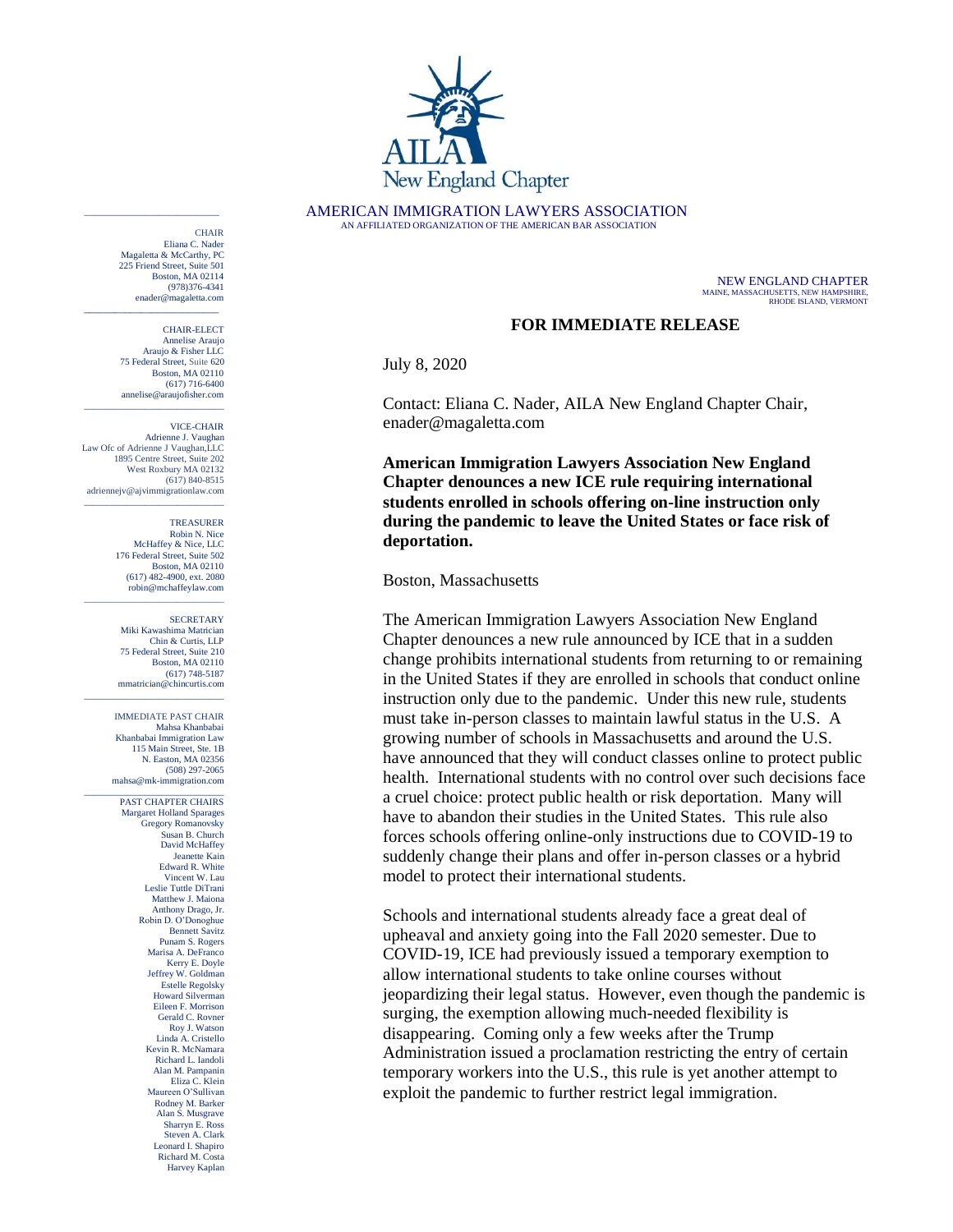

AMERICAN IMMIGRATION LAWYERS ASSOCIATION AN AFFILIATED ORGANIZATION OF THE AMERICAN BAR ASSOCIATION

> NEW ENGLAND CHAPTER MAINE, MASSACHUSETTS, NEW HAMPSHIRE, RHODE ISLAND, VERMONT

## **FOR IMMEDIATE RELEASE**

July 8, 2020

Contact: Eliana C. Nader, AILA New England Chapter Chair, [enader@magaletta.com](mailto:mahsa@mk-immigration.com)

**American Immigration Lawyers Association New England Chapter denounces a new ICE rule requiring international students enrolled in schools offering on-line instruction only during the pandemic to leave the United States or face risk of deportation.** 

## Boston, Massachusetts

The American Immigration Lawyers Association New England Chapter denounces a new rule announced by ICE that in a sudden change prohibits international students from returning to or remaining in the United States if they are enrolled in schools that conduct online instruction only due to the pandemic. Under this new rule, students must take in-person classes to maintain lawful status in the U.S. A growing number of schools in Massachusetts and around the U.S. have announced that they will conduct classes online to protect public health. International students with no control over such decisions face a cruel choice: protect public health or risk deportation. Many will have to abandon their studies in the United States. This rule also forces schools offering online-only instructions due to COVID-19 to suddenly change their plans and offer in-person classes or a hybrid model to protect their international students.

Schools and international students already face a great deal of upheaval and anxiety going into the Fall 2020 semester. Due to COVID-19, ICE had previously issued a temporary exemption to allow international students to take online courses without jeopardizing their legal status. However, even though the pandemic is surging, the exemption allowing much-needed flexibility is disappearing. Coming only a few weeks after the Trump Administration issued a proclamation restricting the entry of certain temporary workers into the U.S., this rule is yet another attempt to exploit the pandemic to further restrict legal immigration.

**CHAIR** Eliana C. Nader Magaletta & McCarthy, PC 225 Friend Street, Suite 501 Boston, MA 02114 (978)376-4341 enader@magaletta.com \_\_\_\_\_\_\_\_\_\_\_\_\_\_\_\_\_\_\_\_\_\_\_\_\_\_

 $\mathcal{L}_\text{max}$  and  $\mathcal{L}_\text{max}$  and  $\mathcal{L}_\text{max}$  and  $\mathcal{L}_\text{max}$ 

CHAIR-ELECT Annelise Araujo Araujo & Fisher LLC 75 Federal Street, Suite 620 Boston, MA 02110 (617) 716-6400 annelise@araujofisher.com \_\_\_\_\_\_\_\_\_\_\_\_\_\_\_\_\_\_\_\_\_\_\_\_\_\_\_\_\_\_

VICE-CHAIR

Adrienne J. Vaughan Law Ofc of Adrienne J Vaughan,LLC 1895 Centre Street, Suite 202 West Roxbury MA 02132 (617) 840-8515 adriennejv@ajvimmigrationlaw.com  $\mathcal{L}_\text{max}$  and  $\mathcal{L}_\text{max}$  and  $\mathcal{L}_\text{max}$  and  $\mathcal{L}_\text{max}$ 

> TREASURER Robin N. Nice McHaffey & Nice, LLC 176 Federal Street, Suite 502 Boston, MA 02110 (617) 482-4900, ext. 2080 robin@mchaffeylaw.com

\_\_\_\_\_\_\_\_\_\_\_\_\_\_\_\_\_\_\_\_\_\_\_\_\_\_\_\_\_\_

\_\_\_\_\_\_\_\_\_\_\_\_\_\_\_\_\_\_\_\_\_\_\_\_\_\_\_\_\_\_

**SECRETARY** Miki Kawashima Matrician Chin & Curtis, LLP 75 Federal Street, Suite 210 Boston, MA 02110 (617) 748-5187 mmatrician@chincurtis.com

IMMEDIATE PAST CHAIR Mahsa Khanbabai Khanbabai Immigration Law 115 Main Street, Ste. 1B N. Easton, MA 02356 (508) 297-2065 mahsa@mk-immigration.com

\_\_\_\_\_\_\_\_\_\_\_\_\_\_\_\_\_\_\_\_\_\_\_\_\_\_\_\_\_\_ PAST CHAPTER CHAIRS Margaret Holland Sparages Gregory Romanovsky Susan B. Church David McHaffey Jeanette Kain Edward R. White Vincent W. Lau Leslie Tuttle DiTrani Matthew J. Maiona Anthony Drago, Jr. Robin D. O'Donoghue Bennett Savitz Punam S. Rogers Marisa A. DeFranco Kerry E. Doyle Jeffrey W. Goldman Estelle Regolsky Howard Silverman Eileen F. Morrison Gerald C. Rovner Roy J. Watson Linda A. Cristello Kevin R. McNamara Richard L. Iandoli Alan M. Pampanin Eliza C. Klein Maureen O'Sullivan Rodney M. Barker Alan S. Musgrave Sharryn E. Ross Steven A. Clark Leonard I. Shapiro Richard M. Costa Harvey Kaplan